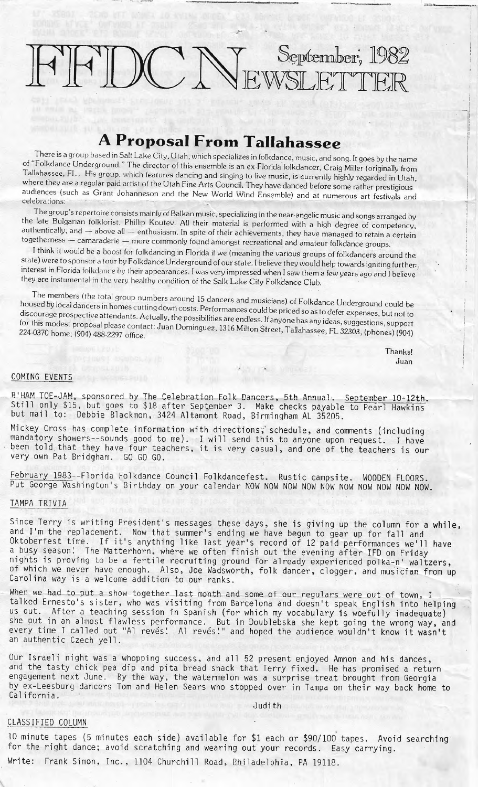# $FIWCC N_E$ September, 1982

## **A Proposal From Tallahassee**

There is a group based in Salt Lake City, Utah, which specializes in folkdance, music, and song. It goes by the name of "Folkdance Underground." The director of this ensemble is an ex-Florida folkdancer, Craig Miller (originally from Tallahassee, FL. His group. which features dancing and singing to live music, is currently highly regarded in Utah, where they are a regular paid artist of the Utah Fine Arts Council. They have danced before some rather prestigious audiences (such as Grant Johanneson and the New World Wind Ensemble) and at numerous art festivals and celebrations:

The group's repertoire consists mainly of Balkan music, specializing in the near-angelic music and songs arranged by the late Bulgarian folklorist, Phillip Koutev. All their material is performed with a high degree of competency, authentically, and - above all - enthusiasm. In spite of their achievements, they have managed to retain a certain togetherness - camaraderie - more commonly found amongst recreational and amateur folkdance groups.

I think it would be a boost for folkdancing in Florida if we (meaning the various groups of folkdancers around the state) were to sponsor a tour by Folkdance Underground of our state. I believe they would help towards igniting further, interest in Florida folkdance by their appearances. I was very impressed when I saw them a few years ago and I believe they are instumental in the very healthy condition of the Salk Lake City Folkdance Club.

The members (the total group numbers around 15 dancers and musicians) of Folkdance Underground could be housed by local dancers in homes cutting down costs. Performances could be priced so as to defer expenses, but not to discourage prospective attendants. Actually, the possibilities are endless. If anyone has any ideas, suggestions, support for this modest proposal please contact: Juan Dominguez, 1316 Milton Street, Tallahassee, FL 32303, (phones) (904)<br>224-0370 home; (904) 488-2297 office

> Thanks! Juan

#### COMING EVENTS

B'HAM TOE-JAM, sponsored by The Celebration Folk Dancers, 5th Annual. <u>September 10-12th</u>.<br>Still only \$15, but goes to \$18 after September 3. Make checks payable to Pearl Hawkins but mail to: Debbie Blackmon, 3424 Altamont Road, Birmingham AL 35205 .

Mickey Cross has complete information with directions, schedule, and comments (including mandatory showers--sounds good to me). I will send this to anyone upon request. I have been told that they have four teachers, it is very casual, and one of the teachers is our very own Pat Bridgham. GO GO GO.

February 1983--Florida Folkdance Council Folkdancefest. Rustic campsite. WOODEN FLOORS . Put George Washington's Birthday on your calendar NOW NOW NOW NOW NOW NOW NOW NOW NOW NOW.

### TAMPA TRIVIA

Since Terry is writing President's messages these days, she is giving up the column for a while, and I'm the replacement. Now that summer's ending we have begun to gear up for fall and Oktoberfest time. If it's anything like last year's record of 12 paid performances we'll have a busy season'. The Matterhorn, where we often finish out the evening after IFD on Friday nights is proving to be a fertile recruiting ground for already experienced polka-n' waltzers, of which we never have enough. Also, Joe Wadsworth, folk dancer, clogger, and musician from up<br>Carolina way is a welcome addition to our ranks.

When we had to put a show together last month and some of our regulars were out of town, I talked Ernesto's sister, who was visiting from Barcelona and doesn't speak English into helping us out. After a teaching session in Spanish (for which my vocabulary is woefully inadequate) she put in an almost flawless performance. But in Doublebska she kept going the wrong way, and every time I called out "Al revés! Al revés!" and hoped the audience wouldn't know it wasn't an authentic Czech yell.

Our Israeli night was a whopping success, and all 52 present enjoyed Amnon and his dances, and the tasty chick pea dip and pita bread snack that Terry fixed. He has promised a return engagement next June. By the way, the watermelon was a surprise treat brought from Georgia by ex-Leesburg dancers Tom and Helen Sears who stopped over in Tampa on their way back home to California .

#### Judith

#### CLASSIFIED COLUMN

10 minute tapes (5 minutes each side) available for \$1 each or \$90/100 tapes. Avoid searching for the right dance; avoid scratching and wearing out your records. Easy carrying.

Write: Frank Simon, Inc., 1104 Churchill Road, Philadelphia, PA 19118.